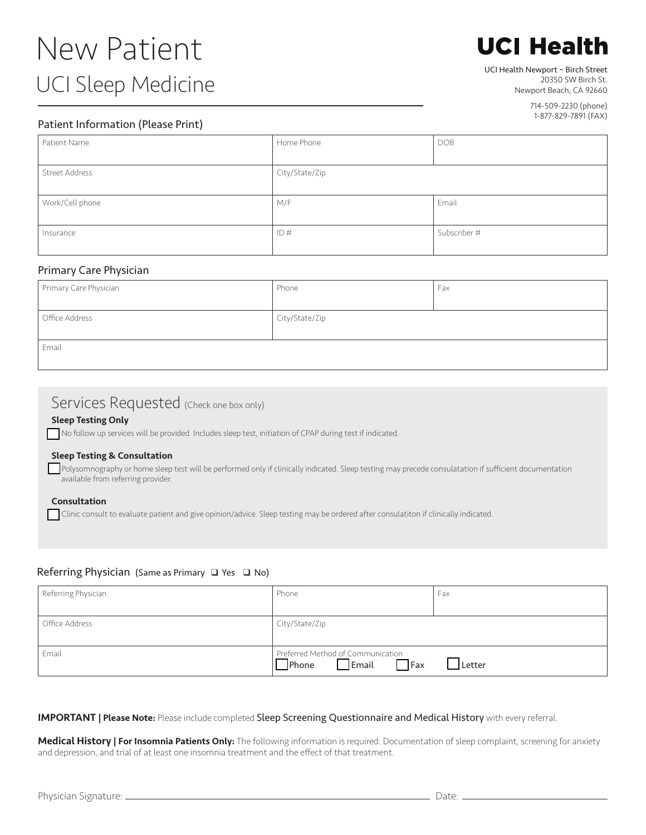# New Patient UCI Sleep Medicine

# **UCI Health**

### UCI Health Newport – Birch Street

20350 SW Birch St. Newport Beach, CA 92660

> 714-509-2230 (phone) 1-877-829-7891 (FAX)

### Patient Information (Please Print)

| Patient Name    | Home Phone     | <b>DOB</b>   |
|-----------------|----------------|--------------|
|                 |                |              |
| Street Address  | City/State/Zip |              |
|                 |                |              |
| Work/Cell phone | M/F            | Email        |
|                 |                |              |
| Insurance       | ID#            | Subscriber # |
|                 |                |              |

#### Primary Care Physician

| Primary Care Physician | Phone          | Fax |
|------------------------|----------------|-----|
|                        |                |     |
| Office Address         | City/State/Zip |     |
| Email                  |                |     |

## Services Requested (Check one box only)

#### Sleep Testing Only

No follow up services will be provided. Includes sleep test, initiation of CPAP during test if indicated.

#### Sleep Testing & Consultation

Polysomnography or home sleep test will be performed only if clinically indicated. Sleep testing may precede consulatation if sufficient documentation available from referring provider.

#### Consultation

q Clinic consult to evaluate patient and give opinion/advice. Sleep testing may be ordered after consulatiton if clinically indicated.

#### Referring Physician (Same as Primary  $\Box$  Yes  $\Box$  No)

| Referring Physician | Phone                                                                        | Fax    |
|---------------------|------------------------------------------------------------------------------|--------|
| Office Address      | City/State/Zip                                                               |        |
| Email               | Preferred Method of Communication<br>$\Box$ Email $\Box$ Fax<br>$\Box$ Phone | Letter |

#### **IMPORTANT | Please Note:** Please include completed Sleep Screening Questionnaire and Medical History with every referral.

Medical History | For Insomnia Patients Only: The following information is required: Documentation of sleep complaint, screening for anxiety and depression, and trial of at least one insomnia treatment and the effect of that treatment.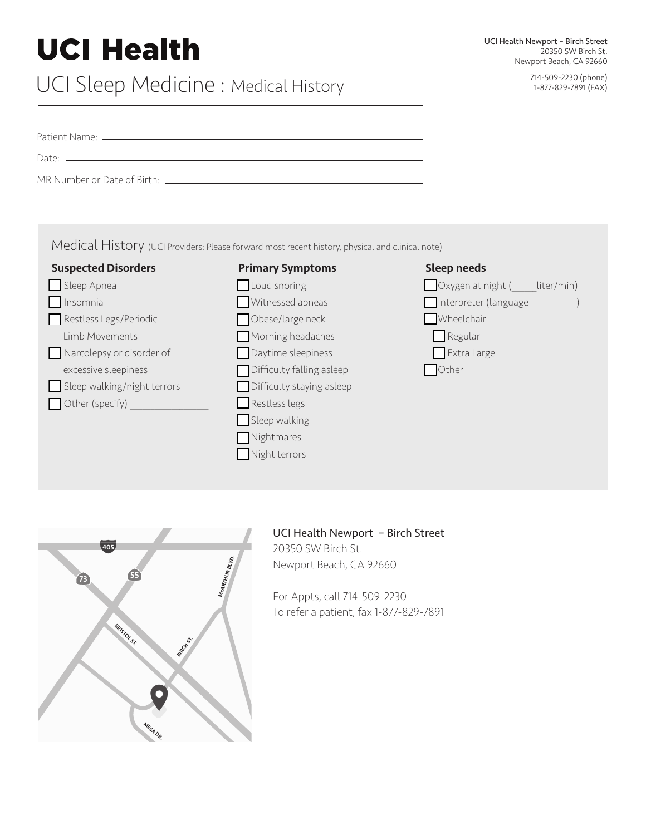# **UCI Health**

# UCI Sleep Medicine : Medical History 714-509-2230 (phone) 714-509-2230 (phone)

|                             | Medical History (UCI Providers: Please forward most recent history, physical and clinical note) |                                        |
|-----------------------------|-------------------------------------------------------------------------------------------------|----------------------------------------|
| <b>Suspected Disorders</b>  | <b>Primary Symptoms</b>                                                                         | <b>Sleep needs</b>                     |
| Sleep Apnea                 | Loud snoring                                                                                    | $\Box$ Oxygen at night (<br>liter/min) |
| Insomnia                    | Witnessed apneas                                                                                | Interpreter (language                  |
| Restless Legs/Periodic      | Obese/large neck                                                                                | Wheelchair                             |
| <b>Limb Movements</b>       | Morning headaches                                                                               | Regular                                |
| Narcolepsy or disorder of   | Daytime sleepiness                                                                              | Extra Large                            |
| excessive sleepiness        | Difficulty falling asleep                                                                       | Other                                  |
| Sleep walking/night terrors | Difficulty staying asleep                                                                       |                                        |
| $\bigcap$ Other (specify)   | Restless legs                                                                                   |                                        |
|                             | Sleep walking                                                                                   |                                        |
|                             | Nightmares                                                                                      |                                        |

 $\Box$  Night terrors



### UCI Health Newport – Birch Street

20350 SW Birch St. Newport Beach, CA 92660

For Appts, call 714-509-2230 To refer a patient, fax 1-877-829-7891